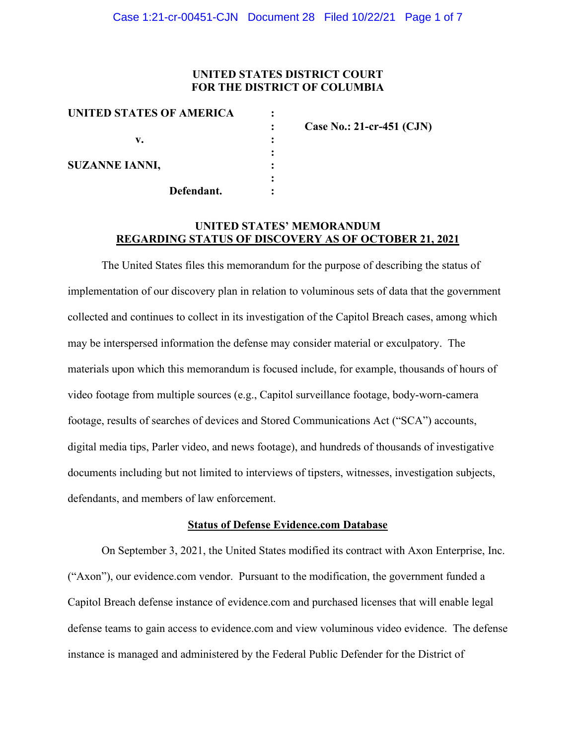## **UNITED STATES DISTRICT COURT FOR THE DISTRICT OF COLUMBIA**

| UNITED STATES OF AMERICA |                             |
|--------------------------|-----------------------------|
|                          | Case No.: 21-cr-451 $(CJN)$ |
| v.                       |                             |
|                          |                             |
| <b>SUZANNE IANNI,</b>    |                             |
|                          |                             |
| Defendant.               |                             |

## **UNITED STATES' MEMORANDUM REGARDING STATUS OF DISCOVERY AS OF OCTOBER 21, 2021**

The United States files this memorandum for the purpose of describing the status of implementation of our discovery plan in relation to voluminous sets of data that the government collected and continues to collect in its investigation of the Capitol Breach cases, among which may be interspersed information the defense may consider material or exculpatory. The materials upon which this memorandum is focused include, for example, thousands of hours of video footage from multiple sources (e.g., Capitol surveillance footage, body-worn-camera footage, results of searches of devices and Stored Communications Act ("SCA") accounts, digital media tips, Parler video, and news footage), and hundreds of thousands of investigative documents including but not limited to interviews of tipsters, witnesses, investigation subjects, defendants, and members of law enforcement.

### **Status of Defense Evidence.com Database**

On September 3, 2021, the United States modified its contract with Axon Enterprise, Inc. ("Axon"), our evidence.com vendor. Pursuant to the modification, the government funded a Capitol Breach defense instance of evidence.com and purchased licenses that will enable legal defense teams to gain access to evidence.com and view voluminous video evidence. The defense instance is managed and administered by the Federal Public Defender for the District of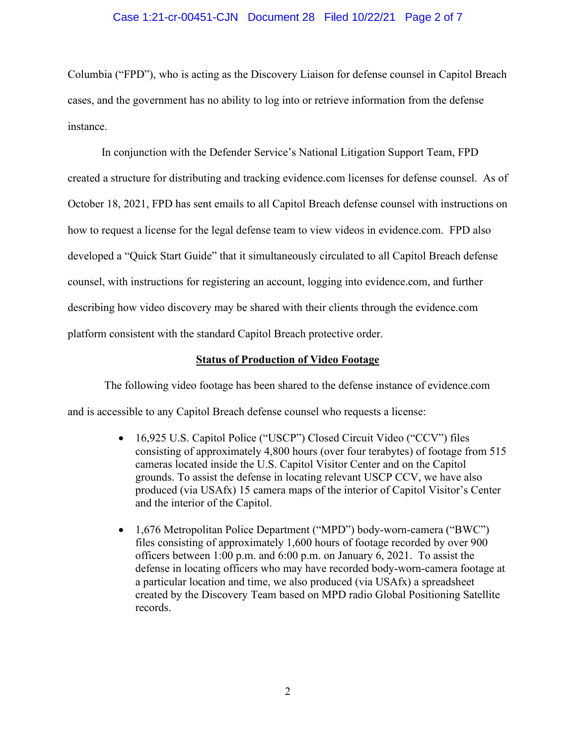### Case 1:21-cr-00451-CJN Document 28 Filed 10/22/21 Page 2 of 7

Columbia ("FPD"), who is acting as the Discovery Liaison for defense counsel in Capitol Breach cases, and the government has no ability to log into or retrieve information from the defense instance.

In conjunction with the Defender Service's National Litigation Support Team, FPD created a structure for distributing and tracking evidence.com licenses for defense counsel. As of October 18, 2021, FPD has sent emails to all Capitol Breach defense counsel with instructions on how to request a license for the legal defense team to view videos in evidence.com. FPD also developed a "Quick Start Guide" that it simultaneously circulated to all Capitol Breach defense counsel, with instructions for registering an account, logging into evidence.com, and further describing how video discovery may be shared with their clients through the evidence.com platform consistent with the standard Capitol Breach protective order.

#### **Status of Production of Video Footage**

The following video footage has been shared to the defense instance of evidence.com and is accessible to any Capitol Breach defense counsel who requests a license:

- 16,925 U.S. Capitol Police ("USCP") Closed Circuit Video ("CCV") files consisting of approximately 4,800 hours (over four terabytes) of footage from 515 cameras located inside the U.S. Capitol Visitor Center and on the Capitol grounds. To assist the defense in locating relevant USCP CCV, we have also produced (via USAfx) 15 camera maps of the interior of Capitol Visitor's Center and the interior of the Capitol.
- 1,676 Metropolitan Police Department ("MPD") body-worn-camera ("BWC") files consisting of approximately 1,600 hours of footage recorded by over 900 officers between 1:00 p.m. and 6:00 p.m. on January 6, 2021. To assist the defense in locating officers who may have recorded body-worn-camera footage at a particular location and time, we also produced (via USAfx) a spreadsheet created by the Discovery Team based on MPD radio Global Positioning Satellite records.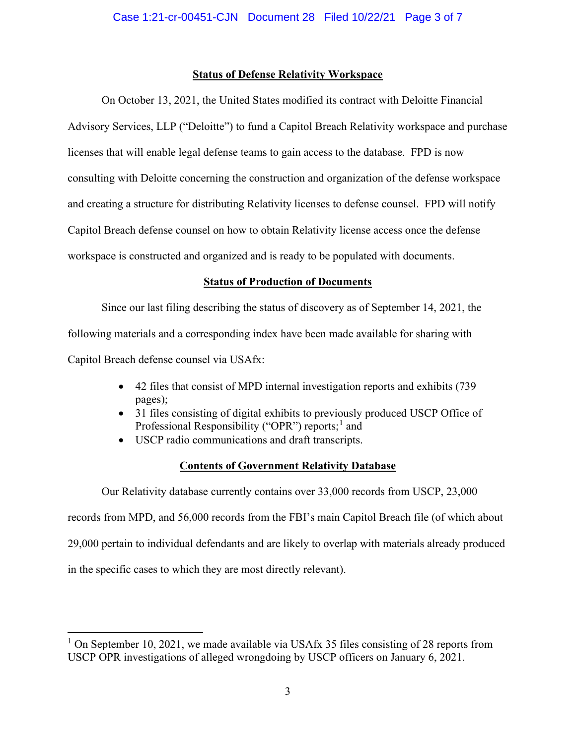## **Status of Defense Relativity Workspace**

On October 13, 2021, the United States modified its contract with Deloitte Financial Advisory Services, LLP ("Deloitte") to fund a Capitol Breach Relativity workspace and purchase licenses that will enable legal defense teams to gain access to the database. FPD is now consulting with Deloitte concerning the construction and organization of the defense workspace and creating a structure for distributing Relativity licenses to defense counsel. FPD will notify Capitol Breach defense counsel on how to obtain Relativity license access once the defense workspace is constructed and organized and is ready to be populated with documents.

## **Status of Production of Documents**

Since our last filing describing the status of discovery as of September 14, 2021, the following materials and a corresponding index have been made available for sharing with Capitol Breach defense counsel via USAfx:

- 42 files that consist of MPD internal investigation reports and exhibits (739 pages);
- 31 files consisting of digital exhibits to previously produced USCP Office of Professional Responsibility ("OPR") reports;<sup>1</sup> and
- USCP radio communications and draft transcripts.

# **Contents of Government Relativity Database**

Our Relativity database currently contains over 33,000 records from USCP, 23,000 records from MPD, and 56,000 records from the FBI's main Capitol Breach file (of which about 29,000 pertain to individual defendants and are likely to overlap with materials already produced in the specific cases to which they are most directly relevant).

<sup>&</sup>lt;sup>1</sup> On September 10, 2021, we made available via USAfx 35 files consisting of 28 reports from USCP OPR investigations of alleged wrongdoing by USCP officers on January 6, 2021.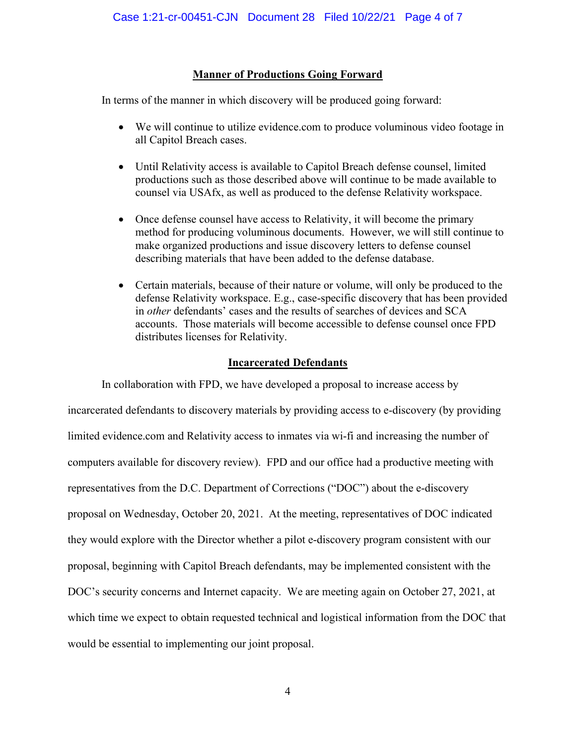## **Manner of Productions Going Forward**

In terms of the manner in which discovery will be produced going forward:

- We will continue to utilize evidence.com to produce voluminous video footage in all Capitol Breach cases.
- Until Relativity access is available to Capitol Breach defense counsel, limited productions such as those described above will continue to be made available to counsel via USAfx, as well as produced to the defense Relativity workspace.
- Once defense counsel have access to Relativity, it will become the primary method for producing voluminous documents. However, we will still continue to make organized productions and issue discovery letters to defense counsel describing materials that have been added to the defense database.
- Certain materials, because of their nature or volume, will only be produced to the defense Relativity workspace. E.g., case-specific discovery that has been provided in *other* defendants' cases and the results of searches of devices and SCA accounts. Those materials will become accessible to defense counsel once FPD distributes licenses for Relativity.

## **Incarcerated Defendants**

In collaboration with FPD, we have developed a proposal to increase access by incarcerated defendants to discovery materials by providing access to e-discovery (by providing limited evidence.com and Relativity access to inmates via wi-fi and increasing the number of computers available for discovery review). FPD and our office had a productive meeting with representatives from the D.C. Department of Corrections ("DOC") about the e-discovery proposal on Wednesday, October 20, 2021. At the meeting, representatives of DOC indicated they would explore with the Director whether a pilot e-discovery program consistent with our proposal, beginning with Capitol Breach defendants, may be implemented consistent with the DOC's security concerns and Internet capacity. We are meeting again on October 27, 2021, at which time we expect to obtain requested technical and logistical information from the DOC that would be essential to implementing our joint proposal.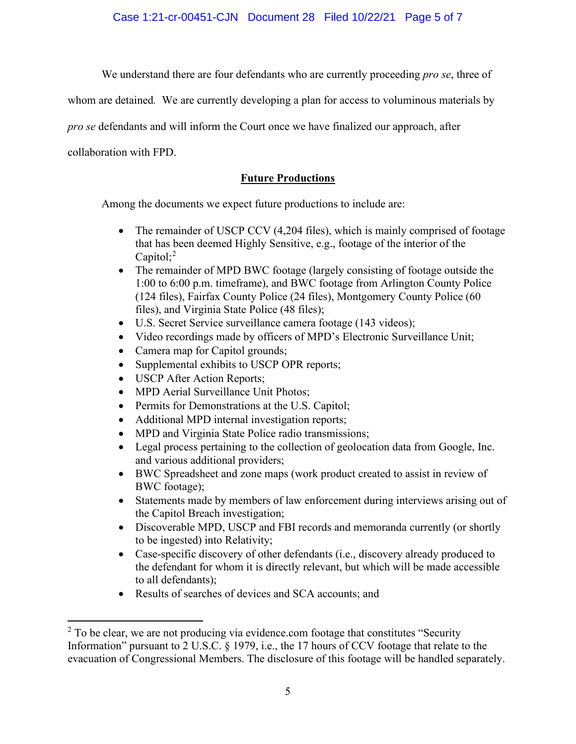Case 1:21-cr-00451-CJN Document 28 Filed 10/22/21 Page 5 of 7

We understand there are four defendants who are currently proceeding *pro se*, three of

whom are detained*.* We are currently developing a plan for access to voluminous materials by

*pro se* defendants and will inform the Court once we have finalized our approach, after

collaboration with FPD.

# **Future Productions**

Among the documents we expect future productions to include are:

- The remainder of USCP CCV (4,204 files), which is mainly comprised of footage that has been deemed Highly Sensitive, e.g., footage of the interior of the Capitol;<sup>2</sup>
- The remainder of MPD BWC footage (largely consisting of footage outside the 1:00 to 6:00 p.m. timeframe), and BWC footage from Arlington County Police (124 files), Fairfax County Police (24 files), Montgomery County Police (60 files), and Virginia State Police (48 files);
- U.S. Secret Service surveillance camera footage (143 videos);
- Video recordings made by officers of MPD's Electronic Surveillance Unit;
- Camera map for Capitol grounds;
- Supplemental exhibits to USCP OPR reports;
- USCP After Action Reports;
- MPD Aerial Surveillance Unit Photos;
- Permits for Demonstrations at the U.S. Capitol;
- Additional MPD internal investigation reports;
- MPD and Virginia State Police radio transmissions;
- Legal process pertaining to the collection of geolocation data from Google, Inc. and various additional providers;
- BWC Spreadsheet and zone maps (work product created to assist in review of BWC footage);
- Statements made by members of law enforcement during interviews arising out of the Capitol Breach investigation;
- Discoverable MPD, USCP and FBI records and memoranda currently (or shortly to be ingested) into Relativity;
- Case-specific discovery of other defendants (i.e., discovery already produced to the defendant for whom it is directly relevant, but which will be made accessible to all defendants);
- Results of searches of devices and SCA accounts; and

 $2$  To be clear, we are not producing via evidence.com footage that constitutes "Security Information" pursuant to 2 U.S.C. § 1979, i.e., the 17 hours of CCV footage that relate to the evacuation of Congressional Members. The disclosure of this footage will be handled separately.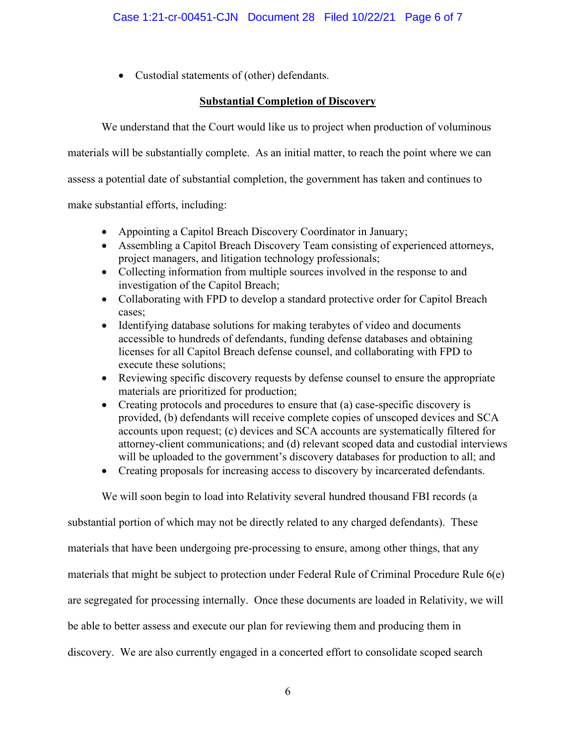• Custodial statements of (other) defendants.

## **Substantial Completion of Discovery**

We understand that the Court would like us to project when production of voluminous

materials will be substantially complete. As an initial matter, to reach the point where we can

assess a potential date of substantial completion, the government has taken and continues to

make substantial efforts, including:

- Appointing a Capitol Breach Discovery Coordinator in January;
- Assembling a Capitol Breach Discovery Team consisting of experienced attorneys, project managers, and litigation technology professionals;
- Collecting information from multiple sources involved in the response to and investigation of the Capitol Breach;
- Collaborating with FPD to develop a standard protective order for Capitol Breach cases;
- Identifying database solutions for making terabytes of video and documents accessible to hundreds of defendants, funding defense databases and obtaining licenses for all Capitol Breach defense counsel, and collaborating with FPD to execute these solutions;
- Reviewing specific discovery requests by defense counsel to ensure the appropriate materials are prioritized for production;
- Creating protocols and procedures to ensure that (a) case-specific discovery is provided, (b) defendants will receive complete copies of unscoped devices and SCA accounts upon request; (c) devices and SCA accounts are systematically filtered for attorney-client communications; and (d) relevant scoped data and custodial interviews will be uploaded to the government's discovery databases for production to all; and
- Creating proposals for increasing access to discovery by incarcerated defendants.

We will soon begin to load into Relativity several hundred thousand FBI records (a

substantial portion of which may not be directly related to any charged defendants). These materials that have been undergoing pre-processing to ensure, among other things, that any materials that might be subject to protection under Federal Rule of Criminal Procedure Rule 6(e) are segregated for processing internally. Once these documents are loaded in Relativity, we will be able to better assess and execute our plan for reviewing them and producing them in discovery. We are also currently engaged in a concerted effort to consolidate scoped search